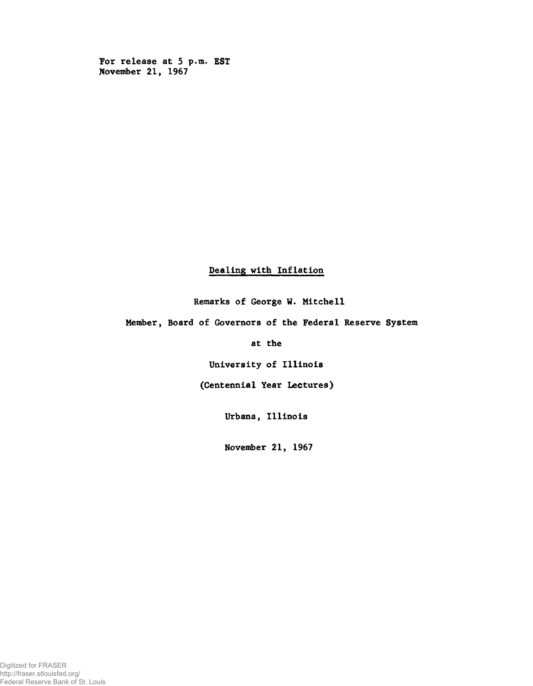For release at 5 p.m. EST November 21, 1967

## Dealing with Inflation

Remarks of George W. Mitchell

Member, Board of Governors of the Federal Reserve System

at the

University of Illinois

(Centennial Year Lectures)

Urbana, Illinois

November 21, 1967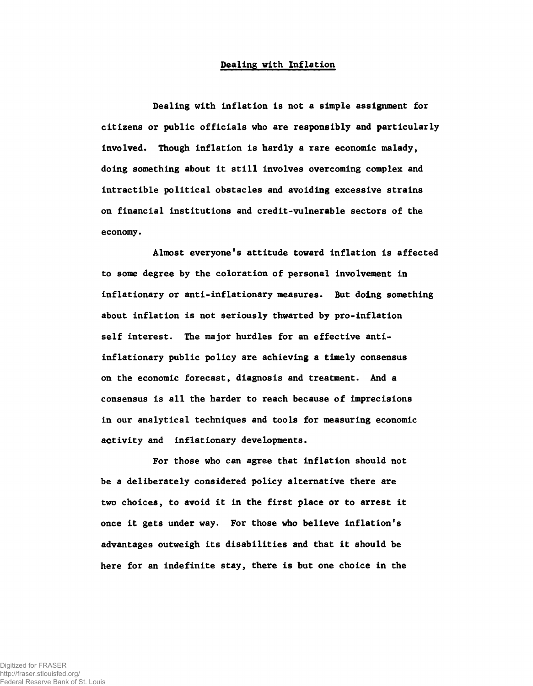## Dealing with Inflation

Dealing with inflation is not a simple assignment for citizens or public officials who are responsibly and particularly involved. Though inflation is hardly a rare economic malady, doing something about it still involves overcoming complex and intractible political obstacles and avoiding excessive strains on financial institutions and credit-vulnerable sectors of the economy.

Almost everyone's attitude toward inflation is affected to some degree by the coloration of personal involvement in inflationary or anti-inflationary measures. But doing something about inflation is not seriously thwarted by pro-inflation self interest. The major hurdles for an effective antiinflationary public policy are achieving a timely consensus on the economic forecast, diagnosis and treatment. And a consensus is all the harder to reach because of imprecisions in our analytical techniques and tools for measuring economic activity and inflationary developments.

For those who can agree that inflation should not be a deliberately considered policy alternative there are two choices, to avoid it in the first place or to arrest it once it gets under way. For those who believe inflation's advantages outweigh its disabilities and that it should be here for an indefinite stay, there is but one choice in the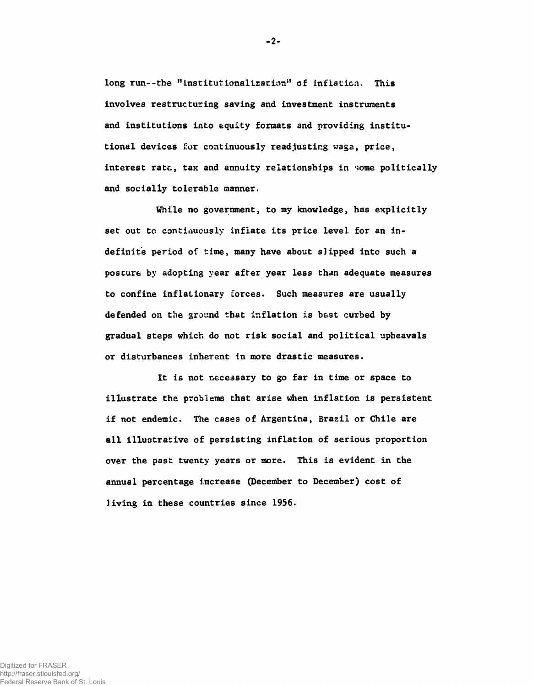long run--the "institutionalization" of inflation. This involves restructuring saving and investment instruments and institutions into equity formats and providing institutional devices for continuously readjusting wage, price, interest rate, tax and annuity relationships in some politically and socially tolerable manner.

While no government, to my knowledge, has explicitly set out to continuously inflate its price level for an indefinite period of time, many have about slipped into such a posture by adopting year after year less than adequate measures to confine inflationary forces. Such measures are usually defended on the ground that inflation is best curbed by gradual steps which do not risk social and political upheavals or disturbances inherent in more drastic measures.

It is not necessary to go far in time or space to illustrate the problems that arise when inflation is persistent if not endemic. The cases of Argentina, Brazil or Chile are all illustrative of persisting inflation of serious proportion over the past twenty years or more. This is evident in the annual percentage increase (December to December) cost of living in these countries since 1956.

 $-2-$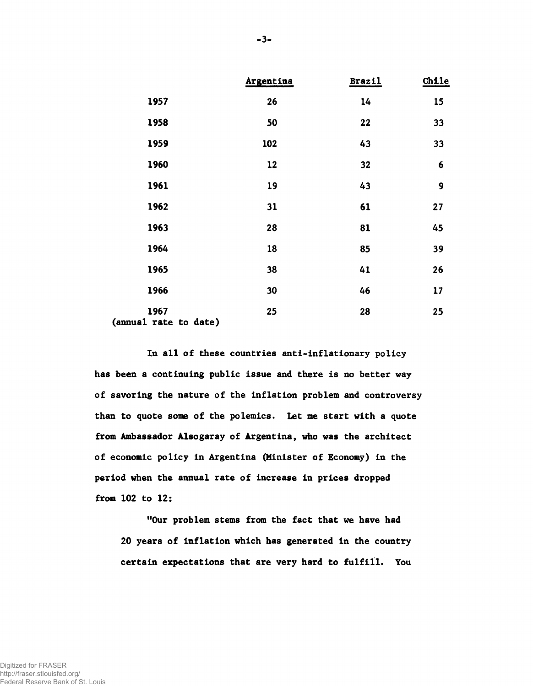|                               | Argentina | <b>Brazil</b> | Chile |
|-------------------------------|-----------|---------------|-------|
| 1957                          | 26        | 14            | 15    |
| 1958                          | 50        | 22            | 33    |
| 1959                          | 102       | 43            | 33    |
| 1960                          | 12        | 32            | 6     |
| 1961                          | 19        | 43            | 9     |
| 1962                          | 31        | 61            | 27    |
| 1963                          | 28        | 81            | 45    |
| 1964                          | 18        | 85            | 39    |
| 1965                          | 38        | 41            | 26    |
| 1966                          | 30        | 46            | 17    |
| 1967<br>(annual rate to date) | 25        | 28            | 25    |

In all of these countries anti-inflationary policy has been a continuing public issue and there is no better way of savoring the nature of the inflation problem and controversy than to quote some of the polemics. Let me start with a quote from Ambassador Alsogaray of Argentina, who was the architect of economic policy in Argentina (Minister of Economy) in the period when the annual rate of increase in prices dropped from 102 to 12:

"Our problem stems from the fact that we have had 20 years of inflation which has generated in the country certain expectations that are very hard to fulfill. You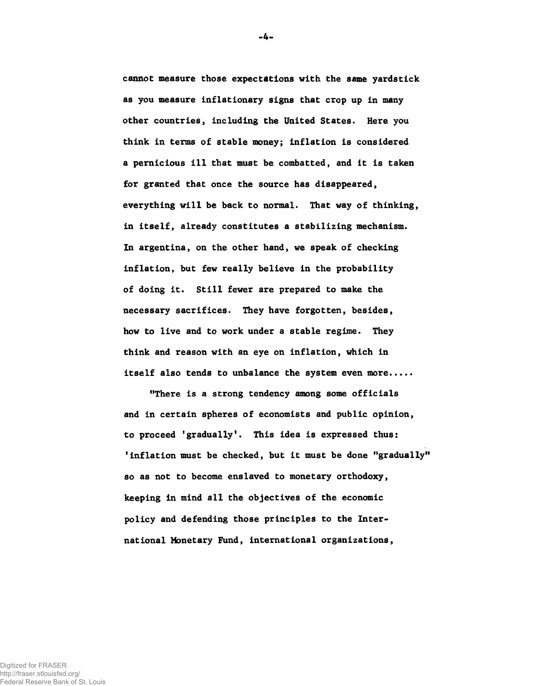cannot measure those expectations with the same yardstick as you measure inflationary signs that crop up in many other countries, including the United States. Here you think in terms of stable money; inflation is considered a pernicious ill that must be combatted, and it is taken for granted that once the source has disappeared, everything will be back to normal. That way of thinking, in itself, already constitutes a stabilizing mechanism. In argentina, on the other hand, we speak of checking inflation, but few really believe in the probability of doing it. Still fewer are prepared to make the necessary sacrifices. They have forgotten, besides, how to live and to work under a stable regime. They think and reason with an eye on inflation, which in itself also tends to unbalance the system even more....

"There is a strong tendency among some officials and in certain spheres of economists and public opinion, to proceed 'gradually'. This idea is expressed thus: 'inflation must be checked, but it must be done "gradually" so as not to become enslaved to monetary orthodoxy, keeping in mind all the objectives of the economic policy and defending those principles to the International Monetary Fund, international organizations,

-4-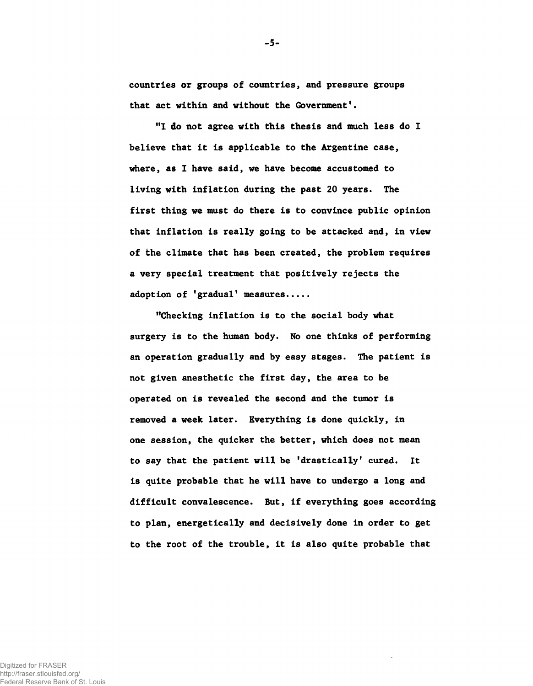countries or groups of countries, and pressure groups that act within and without the Government'.

-5-

"I do not agree with this thesis and much less do I believe that it is applicable to the Argentine case, where, as I have said, we have become accustomed to living with inflation during the past 20 years. The first thing we must do there is to convince public opinion that inflation is really going to be attacked and, in view of the climate that has been created, the problem requires a very special treatment that positively rejects the adoption of 'gradual' measures.....

"Checking inflation is to the social body what surgery is to the human body. No one thinks of performing an operation gradually and by easy stages. The patient is not given anesthetic the first day, the area to be operated on is revealed the second and the tumor is removed a week later. Everything is done quickly, in one session, the quicker the better, which does not mean to say that the patient will be 'drastically' cured. It is quite probable that he will have to undergo a long and difficult convalescence. But, if everything goes according to plan, energetically and decisively done in order to get to the root of the trouble, it is also quite probable that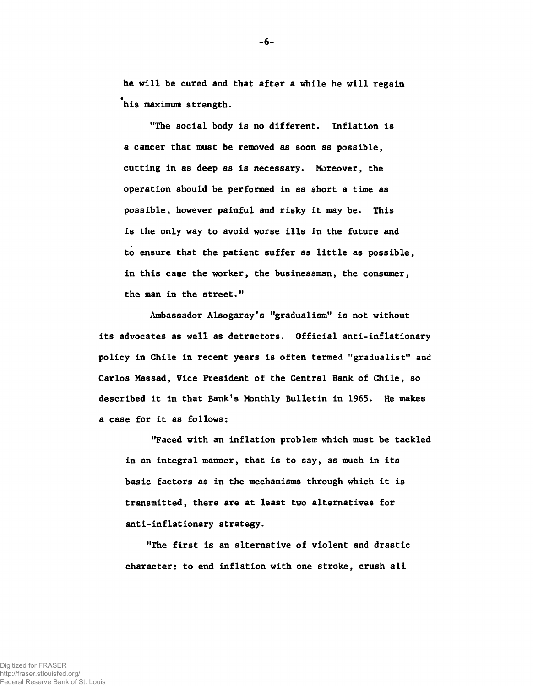he will be cured and that after a while he will regain his maximum strength.

"The social body is no different. Inflation is a cancer that must be removed as soon as possible, cutting in as deep as is necessary. Moreover, the operation should be performed in as short a time as possible, however painful and risky it may be. This is the only way to avoid worse ills in the future and to ensure that the patient suffer as little as possible, in this case the worker, the businessman, the consumer, the man in the street."

Ambassador Alsogaray's "gradualism" is not without its advocates as well as detractors. Official anti-inflationary policy in Chile in recent years is often termed "gradualist" and Carlos Massad, Vice President of the Central Bank of Chile, so described it in that Bank's Monthly Bulletin in 1965. He makes a case for it as follows:

"Faced with an inflation problem which must be tackled in an integral manner, that is to say, as much in its basic factors as in the mechanisms through which it is transmitted, there are at least two alternatives for anti-inflationary strategy.

"The first is an alternative of violent and drastic character: to end inflation with one stroke, crush all

-6-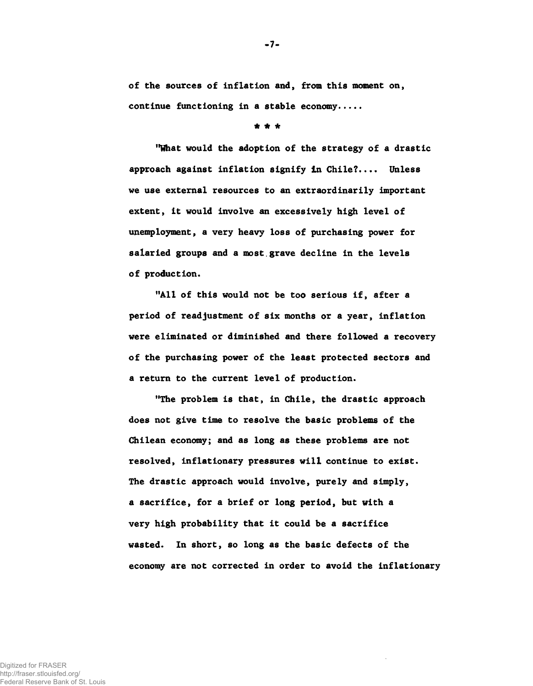of the sources of inflation and, from this moment on, continue functioning in a stable economy....

\* \* \*

"What would the adoption of the strategy of a drastic approach against inflation signify In Chile?.... Unless we use external resources to an extraordinarily important extent, it would involve an excessively high level of unemployment, a very heavy loss of purchasing power for salaried groups and a most.grave decline in the levels of production.

"All of this would not be too serious if, after a period of readjustment of six months or a year, inflation were eliminated or diminished and there followed a recovery of the purchasing power of the least protected sectors and a return to the current level of production.

"The problem is that, in Chile, the drastic approach does not give time to resolve the basic problems of the Chilean economy; and as long as these problems are not resolved, inflationary pressures will continue to exist. The drastic approach would involve, purely and simply, a sacrifice, for a brief or long period, but with a very high probability that it could be a sacrifice wasted. In short, so long as the basic defects of the economy are not corrected in order to avoid the inflationary

-7-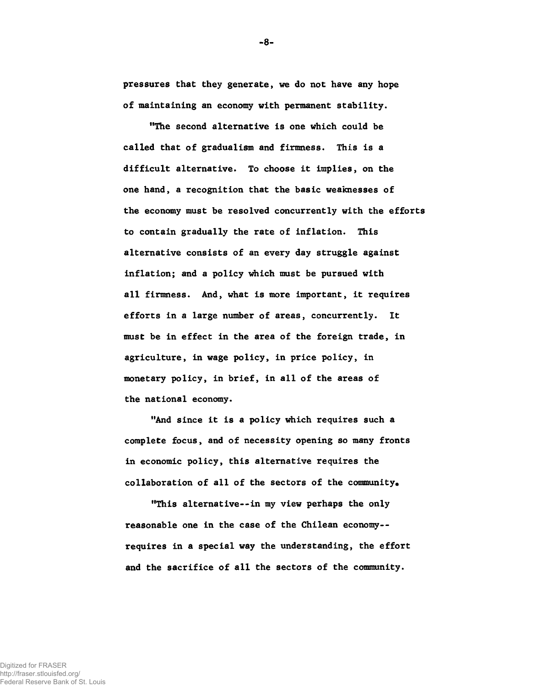pressures that they generate, we do not have any hope of maintaining an economy with permanent stability.

"The second alternative is one which could be called that of gradualism and firmness. This is a difficult alternative. To choose it implies, on the one hand, a recognition that the basic weaknesses of the economy must be resolved concurrently with the efforts to contain gradually the rate of inflation. This alternative consists of an every day struggle against inflation; and a policy which must be pursued with all firmness. And, what is more important, it requires efforts in a large number of areas, concurrently. It must be in effect in the area of the foreign trade, in agriculture, in wage policy, in price policy, in monetary policy, in brief, in all of the areas of the national economy.

"And since it is a policy which requires such a complete focus, and of necessity opening so many fronts in economic policy, this alternative requires the collaboration of all of the sectors of the community.

"This alternative— in my view perhaps the only reasonable one in the case of the Chilean economy-requires in a special way the understanding, the effort and the sacrifice of all the sectors of the community.

Digitized for FRASER http://fraser.stlouisfed.org/ Federal Reserve Bank of St. Louis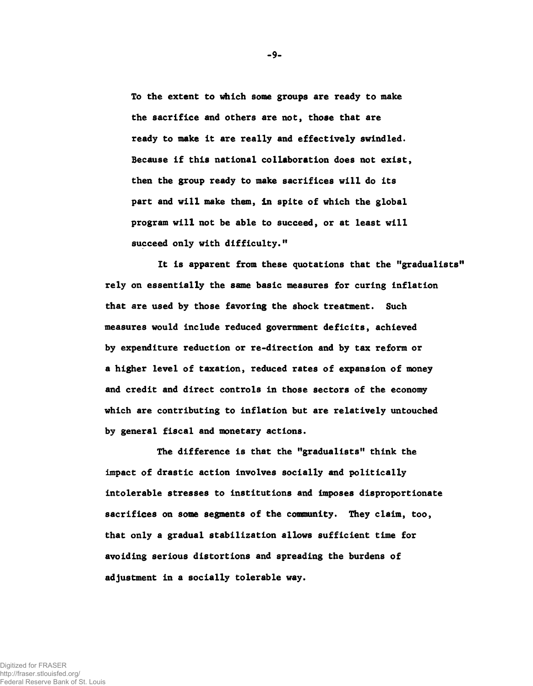To the extent to which some groups are ready to make the sacrifice and others are not, those that are ready to make it are really and effectively swindled. Because if this national collaboration does not exist, then the group ready to make sacrifices will do its part and will make them, in spite of which the global program will not be able to succeed, or at least will succeed only with difficulty."

It is apparent from these quotations that the "gradualists" rely on essentially the same basic measures for curing inflation that are used by those favoring the shock treatment. Such measures would include reduced government deficits, achieved by expenditure reduction or re-direction and by tax reform or a higher level of taxation, reduced rates of expansion of money and credit and direct controls in those sectors of the economy which are contributing to inflation but are relatively untouched by general fiscal and monetary actions.

The difference is that the "gradualists" think the impact of drastic action involves socially and politically intolerable stresses to institutions and imposes disproportionate sacrifices on some segments of the community. They claim, too, that only a gradual stabilization allows sufficient time for avoiding serious distortions and spreading the burdens of adjustment in a socially tolerable way.

-9-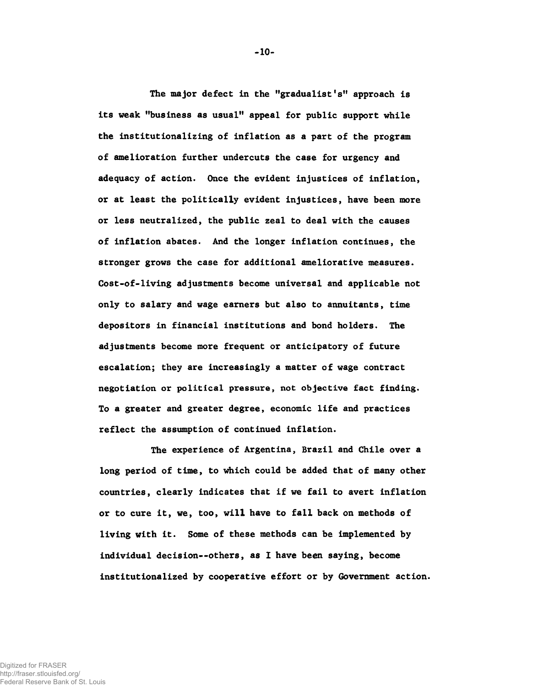The major defect in the "gradualist's" approach is its weak "business as usual" appeal for public support while the institutionalizing of inflation as a part of the program of amelioration further undercuts the case for urgency and adequacy of action. Once the evident injustices of inflation, or at least the politically evident injustices, have been more or less neutralized, the public zeal to deal with the causes of inflation abates. And the longer inflation continues, the stronger grows the case for additional ameliorative measures. Cost-of-living adjustments become universal and applicable not only to salary and wage earners but also to annuitants, time depositors in financial institutions and bond holders. The adjustments become more frequent or anticipatory of future escalation; they are increasingly a matter of wage contract negotiation or political pressure, not objective fact finding. To a greater and greater degree, economic life and practices reflect the assumption of continued inflation.

The experience of Argentina, Brazil and Chile over a long period of time, to which could be added that of many other countries, clearly indicates that if we fail to avert inflation or to cure it, we, too, will have to fall back on methods of living with it. Some of these methods can be implemented by individual decision— others, as I have been saying, become institutionalized by cooperative effort or by Government action.

- 10-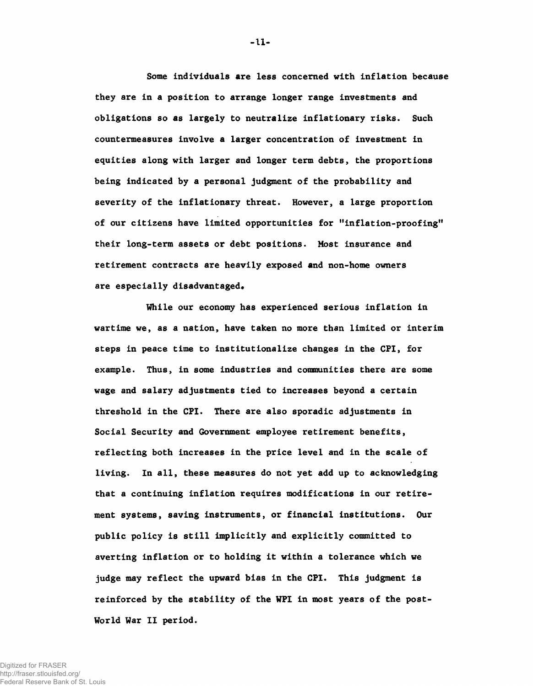Some individuals are less concerned with inflation because they are in a position to arrange longer range investments and obligations so as largely to neutralize inflationary risks. Such countermeasures involve a larger concentration of investment in equities along with larger and longer term debts, the proportions being indicated by a personal judgment of the probability and severity of the inflationary threat. However, a large proportion of our citizens have limited opportunities for "inflation-proofing" their long-term assets or debt positions. Most insurance and retirement contracts are heavily exposed and non-home owners are especially disadvantaged.

While our economy has experienced serious inflation in wartime we, as a nation, have taken no more than limited or interim steps in peace time to institutionalize changes in the CPI, for example. Thus, in some industries and communities there are some wage and salary adjustments tied to increases beyond a certain threshold in the CPI. There are also sporadic adjustments in Social Security and Government employee retirement benefits, reflecting both increases in the price level and in the scale of living. In all, these measures do not yet add up to acknowledging that a continuing inflation requires modifications in our retirement systems, saving instruments, or financial institutions. Our public policy is still implicitly and explicitly committed to averting inflation or to holding it within a tolerance which we judge may reflect the upward bias in the CPI. This judgment is reinforced by the stability of the WPI in most years of the post-World War II period.

- 11-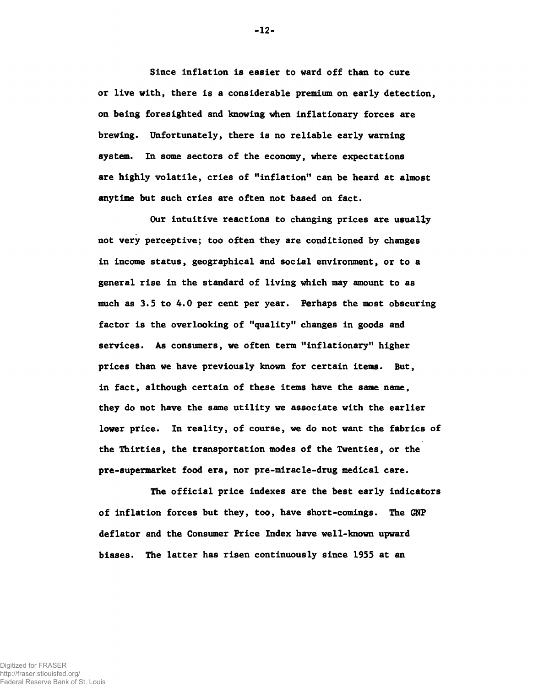Since inflation is easier to ward off than to cure or live with, there is a considerable premium on early detection, on being foresighted and knowing when inflationary forces are brewing. Unfortunately, there is no reliable early warning system. In some sectors of the economy, where expectations are highly volatile, cries of "inflation" can be heard at almost anytime but such cries are often not based on fact.

Our intuitive reactions to changing prices are usually not very perceptive; too often they are conditioned by changes in income status, geographical and social environment, or to a general rise in the standard of living which may amount to as much as 3.5 to 4.0 per cent per year. Perhaps the most obscuring factor is the overlooking of "quality" changes in goods and services. As consumers, we often term "inflationary" higher prices than we have previously known for certain items. But, in fact, although certain of these items have the same name, they do not have the same utility we associate with the earlier lower price. In reality, of course, we do not want the fabrics of the Thirties, the transportation modes of the Twenties, or the pre-supermarket food era, nor pre-miracle-drug medical care.

The official price indexes are the best early indicators of inflation forces but they, too, have short-comings. The GNP deflator and the Consumer Price Index have well-known upward biases. The latter has risen continuously since 1955 at an

- 12-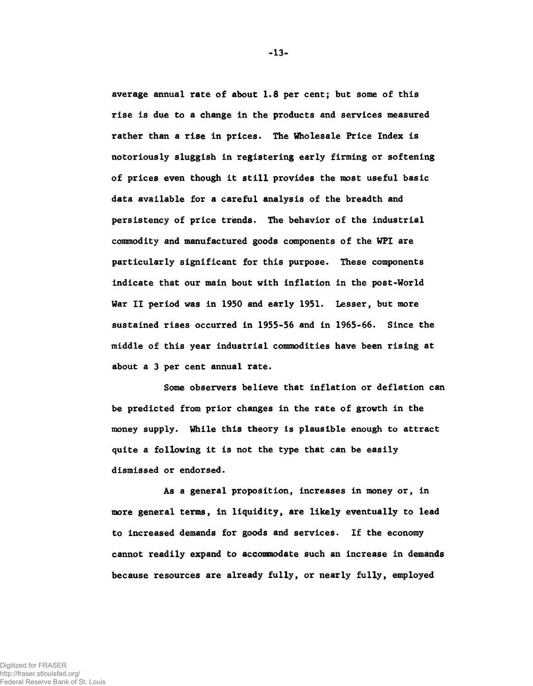average annual rate of about 1.8 per cent; but some of this rise is due to a change in the products and services measured rather than a rise in prices. The Wholesale Price Index is notoriously sluggish in registering early firming or softening of prices even though it still provides the most useful basic data available for a careful analysis of the breadth and persistency of price trends. The behavior of the industrial commodity and manufactured goods components of the WPI are particularly significant for this purpose. These components indicate that our main bout with inflation in the post-World War II period was in 1950 and early 1951. Lesser, but more sustained rises occurred in 1955-56 and in 1965-66. Since the middle of this year industrial commodities have been rising at about a 3 per cent annual rate.

Some observers believe that inflation or deflation can be predicted from prior changes in the rate of growth in the money supply. While this theory is plausible enough to attract quite a following it is not the type that can be easily dismissed or endorsed.

As a general proposition, increases in money or, in more general terms, in liquidity, are likely eventually to lead to increased demands for goods and services. If the economy cannot readily expand to accommodate such an increase in demands because resources are already fully, or nearly fully, employed

-13-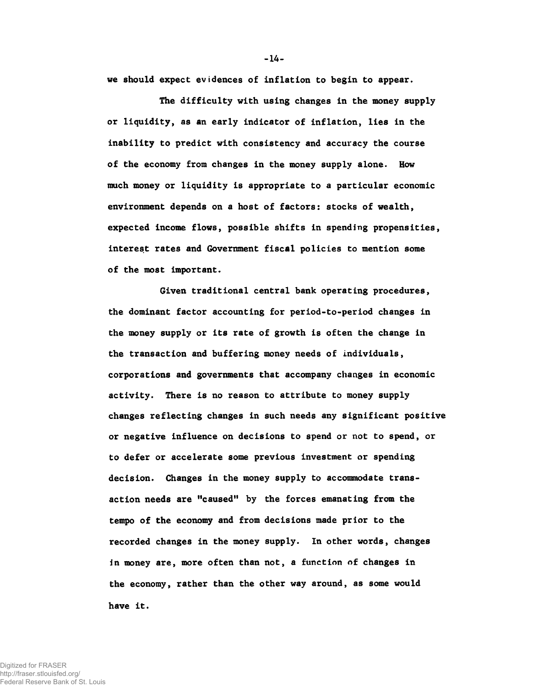we should expect evidences of inflation to begin to appear.

The difficulty with using changes in the money supply or liquidity, as an early indicator of inflation, lies in the inability to predict with consistency and accuracy the course of the economy from changes in the money supply alone. How much money or liquidity is appropriate to a particular economic environment depends on a host of factors: stocks of wealth, expected income flows, possible shifts in spending propensities, interest rates and Government fiscal policies to mention some of the most important.

Given traditional central bank operating procedures, the dominant factor accounting for period-to-period changes in the money supply or its rate of growth is often the change in the transaction and buffering money needs of individuals, corporations and governments that accompany changes in economic activity. There is no reason to attribute to money supply changes reflecting changes in such needs any significant positive or negative influence on decisions to spend or not to spend, or to defer or accelerate some previous investment or spending decision. Changes in the money supply to accommodate transaction needs are "caused" by the forces emanating from the tempo of the economy and from decisions made prior to the recorded changes in the money supply. In other words, changes in money are, more often than not, a function of changes in the economy, rather than the other way around, as some would have it.

Digitized for FRASER http://fraser.stlouisfed.org/ Federal Reserve Bank of St. Louis - 14-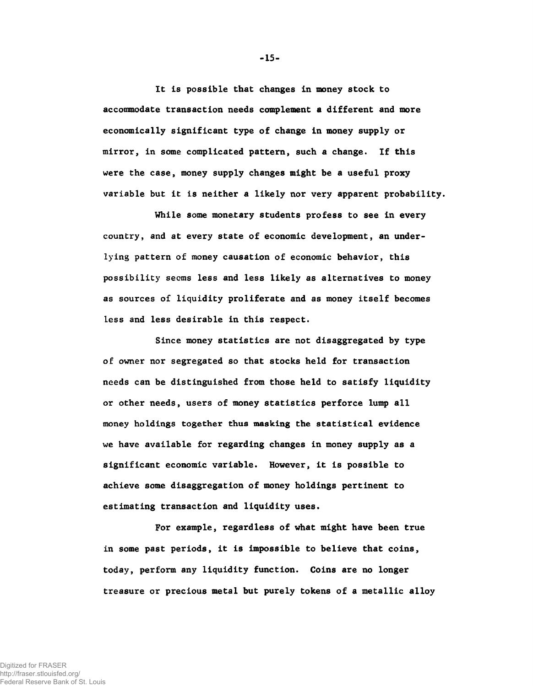It is possible that changes in money stock to accommodate transaction needs complement a different and more economically significant type of change in money supply or mirror, in some complicated pattern, such a change. If this were the case, money supply changes might be a useful proxy variable but it is neither a likely nor very apparent probability.

While some monetary students profess to see in every country, and at every state of economic development, an underlying pattern of money causation of economic behavior, this possibility seems less and less likely as alternatives to money as sources of liquidity proliferate and as money itself becomes less and less desirable in this respect.

Since money statistics are not disaggregated by type of owner nor segregated so that stocks held for transaction needs can be distinguished from those held to satisfy liquidity or other needs, users of money statistics perforce lump all money holdings together thus masking the statistical evidence we have available for regarding changes in money supply as a significant economic variable. However, it is possible to achieve some disaggregation of money holdings pertinent to estimating transaction and liquidity uses.

For example, regardless of what might have been true in some past periods, it is impossible to believe that coins, today, perform any liquidity function. Coins are no longer treasure or precious metal but purely tokens of a metallic alloy

-15-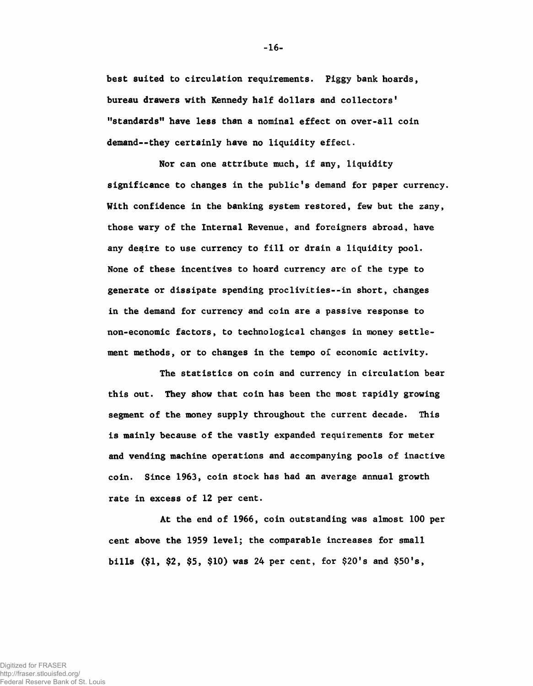best suited to circulation requirements. Piggy bank hoards, bureau drawers with Kennedy half dollars and collectors' "standards" have less than a nominal effect on over-all coin demand--they certainly have no liquidity effect.

Nor can one attribute much, if any, liquidity significance to changes in the public's demand for paper currency. With confidence in the banking system restored, few but the zany, those wary of the Internal Revenue, and foreigners abroad, have any desire to use currency to fill or drain a liquidity pool. None of these incentives to hoard currency are of the type to generate or dissipate spending proclivities--in short, changes in the demand for currency and coin are a passive response to non-economic factors, to technological changes in money settlement methods, or to changes in the tempo of economic activity.

The statistics on coin and currency in circulation bear this out. They show that coin has been the most rapidly growing segment of the money supply throughout the current decade. This is mainly because of the vastly expanded requirements for meter and vending machine operations and accompanying pools of inactive coin. Since 1963, coin stock has had an average annual growth rate in excess of 12 per cent.

At the end of 1966, coin outstanding was almost 100 per cent above the 1959 level; the comparable increases for small bills (\$1, \$2, \$5, \$10) was 24 per cent, for \$20's and \$50's,

- 16-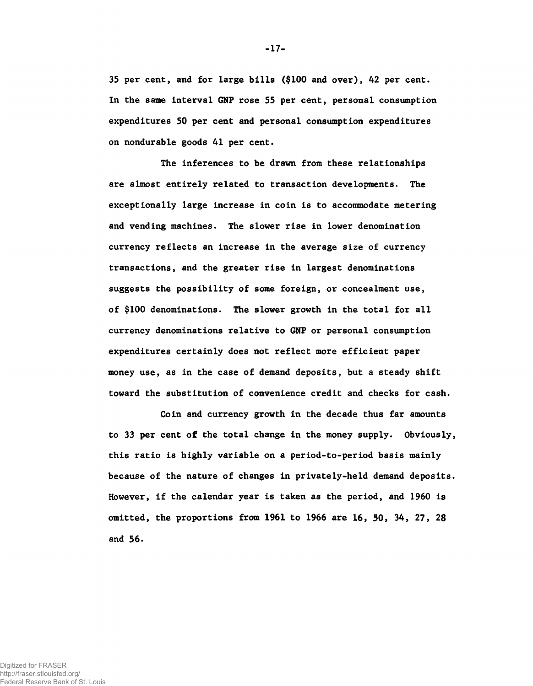35 per cent, and for large bills (\$100 and over), 42 per cent. In the same interval GNP rose 55 per cent, personal consumption expenditures 50 per cent and personal consumption expenditures on nondurable goods 41 per cent.

The inferences to be drawn from these relationships are almost entirely related to transaction developments. The exceptionally large increase in coin is to accommodate metering and vending machines. The slower rise in lower denomination currency reflects an increase in the average size of currency transactions, and the greater rise in largest denominations suggests the possibility of some foreign, or concealment use, of \$100 denominations. The slower growth in the total for all currency denominations relative to GNP or personal consumption expenditures certainly does not reflect more efficient paper money use, as in the case of demand deposits, but a steady shift toward the substitution of convenience credit and checks for cash.

Coin and currency growth in the decade thus far amounts to 33 per cent of the total change in the money supply. Obviously, this ratio is highly variable on a period-to-period basis mainly because of the nature of changes in privately-held demand deposits. However, if the calendar year is taken as the period, and 1960 is omitted, the proportions from 1961 to 1966 are 16, 50, 34, 27, 28 and 56.

-17-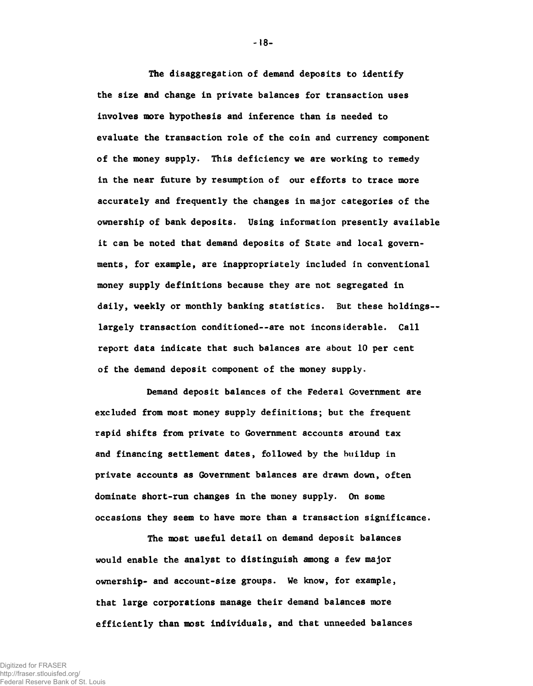The disaggregation of demand deposits to identify the size and change in private balances for transaction uses involves more hypothesis and inference than is needed to evaluate the transaction role of the coin and currency component of the money supply. This deficiency we are working to remedy in the near future by resumption of our efforts to trace more accurately and frequently the changes in major categories of the ownership of bank deposits. Using information presently available it can be noted that demand deposits of State and local governments, for example, are inappropriately included in conventional money supply definitions because they are not segregated in daily, weekly or monthly banking statistics. But these holdings-largely transaction conditioned— are not inconsiderable. Call report data indicate that such balances are about 10 per cent of the demand deposit component of the money supply.

Demand deposit balances of the Federal Government are excluded from most money supply definitions; but the frequent rapid shifts from private to Government accounts around tax and financing settlement dates, followed by the buildup in private accounts as Government balances are drawn down, often dominate short-run changes in the money supply. On some occasions they seem to have more than a transaction significance.

The most useful detail on demand deposit balances would enable the analyst to distinguish among a few major ownership- and account-size groups. We know, for example, that large corporations manage their demand balances more efficiently than most individuals, and that unneeded balances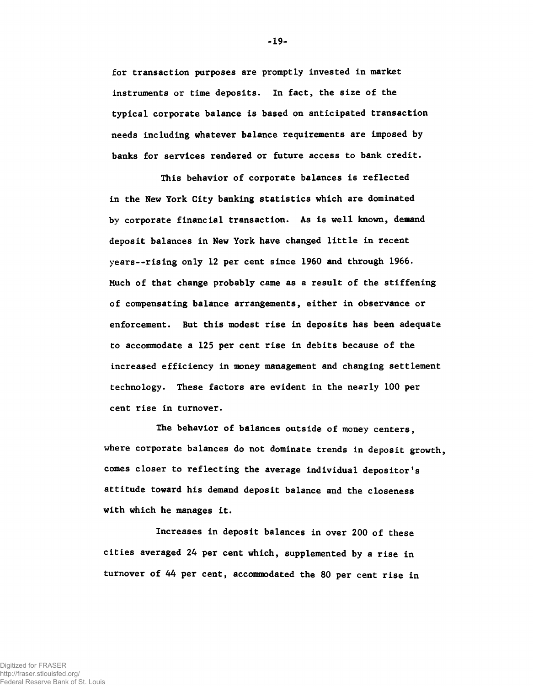for transaction purposes are promptly invested in market instruments or time deposits. In fact, the size of the typical corporate balance is based on anticipated transaction needs including whatever balance requirements are imposed by banks for services rendered or future access to bank credit.

This behavior of corporate balances is reflected in the New York City banking statistics which are dominated by corporate financial transaction. As is well known, demand deposit balances in New York have changed little in recent years--rising only 12 per cent since 1960 and through 1966. Much of that change probably came as a result of the stiffening of compensating balance arrangements, either in observance or enforcement. But this modest rise in deposits has been adequate to accommodate a 125 per cent rise in debits because of the increased efficiency in money management and changing settlement technology. These factors are evident in the nearly 100 per cent rise in turnover.

The behavior of balances outside of money centers, where corporate balances do not dominate trends in deposit growth, comes closer to reflecting the average individual depositor's attitude toward his demand deposit balance and the closeness with which he manages it.

Increases in deposit balances in over 200 of these cities averaged 24 per cent which, supplemented by a rise in turnover of 44 per cent, accommodated the 80 per cent rise in

-19-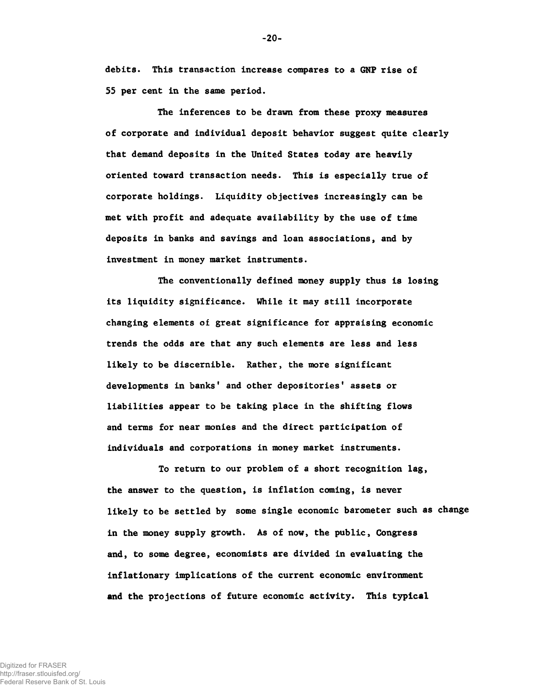debits. This transaction increase compares to a GNP rise of 55 per cent in the same period.

The inferences to be drawn from these proxy measures of corporate and individual deposit behavior suggest quite clearly that demand deposits in the United States today are heavily oriented toward transaction needs. This is especially true of corporate holdings. Liquidity objectives increasingly can be met with profit and adequate availability by the use of time deposits in banks and savings and loan associations, and by investment in money market instruments.

The conventionally defined money supply thus is losing its liquidity significance. While it may still incorporate changing elements of great significance for appraising economic trends the odds are that any such elements are less and less likely to be discernible. Rather, the more significant developments in banks' and other depositories' assets or liabilities appear to be taking place in the shifting flows and terms for near monies and the direct participation of individuals and corporations in money market instruments.

To return to our problem of a short recognition lag, the answer to the question, is inflation coming, is never likely to be settled by some single economic barometer such as change in the money supply growth. As of now, the public, Congress and, to some degree, economists are divided in evaluating the inflationary implications of the current economic environment and the projections of future economic activity. This typical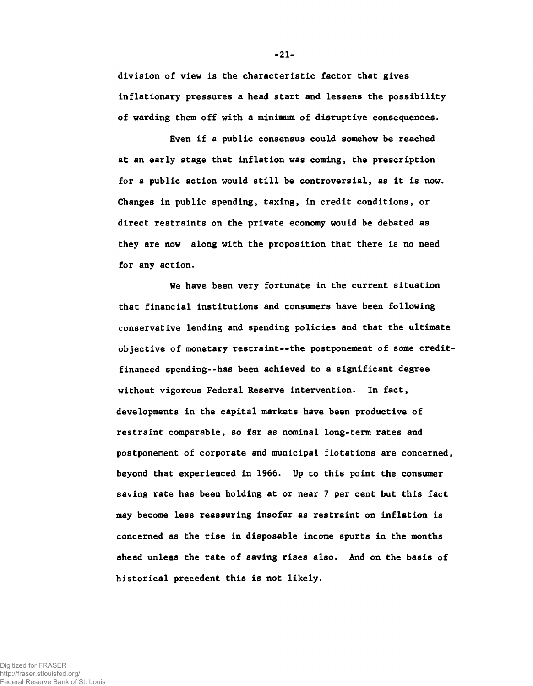division of view is the characteristic factor that gives inflationary pressures a head start and lessens the possibility of warding them off with a minimum of disruptive consequences.

Even if a public consensus could somehow be reached at an early stage that inflation was coming, the prescription for a public action would still be controversial, as it is now. Changes in public spending, taxing, in credit conditions, or direct restraints on the private economy would be debated as they are now along with the proposition that there is no need for any action.

We have been very fortunate in the current situation that financial institutions and consumers have been following conservative lending and spending policies and that the ultimate objective of monetary restraint— the postponement of some creditfinanced spending— has been achieved to a significant degree without vigorous Federal Reserve intervention. In fact, developments in the capital markets have been productive of restraint comparable, so far as nominal long-term rates and postponement of corporate and municipal flotations are concerned, beyond that experienced in 1966. Up to this point the consumer saving rate has been holding at or near 7 per cent but this fact may become less reassuring insofar as restraint on inflation is concerned as the rise in disposable income spurts in the months ahead unless the rate of saving rises also. And on the basis of historical precedent this is not likely.

 $-21-$